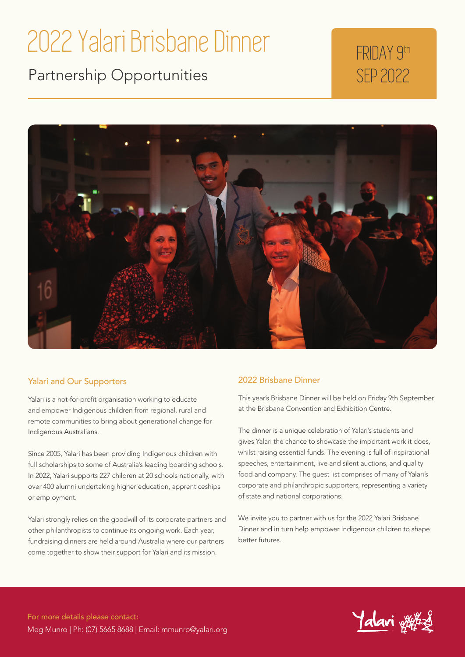## 2022 Yalari Brisbane Dinner

Partnership Opportunities

## FRIDAY 9th SEP 2022



#### Yalari and Our Supporters

Yalari is a not-for-profit organisation working to educate and empower Indigenous children from regional, rural and remote communities to bring about generational change for Indigenous Australians.

Since 2005, Yalari has been providing Indigenous children with full scholarships to some of Australia's leading boarding schools. In 2022, Yalari supports 227 children at 20 schools nationally, with over 400 alumni undertaking higher education, apprenticeships or employment.

Yalari strongly relies on the goodwill of its corporate partners and other philanthropists to continue its ongoing work. Each year, fundraising dinners are held around Australia where our partners come together to show their support for Yalari and its mission.

#### 2022 Brisbane Dinner

This year's Brisbane Dinner will be held on Friday 9th September at the Brisbane Convention and Exhibition Centre.

The dinner is a unique celebration of Yalari's students and gives Yalari the chance to showcase the important work it does, whilst raising essential funds. The evening is full of inspirational speeches, entertainment, live and silent auctions, and quality food and company. The guest list comprises of many of Yalari's corporate and philanthropic supporters, representing a variety of state and national corporations.

We invite you to partner with us for the 2022 Yalari Brisbane Dinner and in turn help empower Indigenous children to shape better futures.